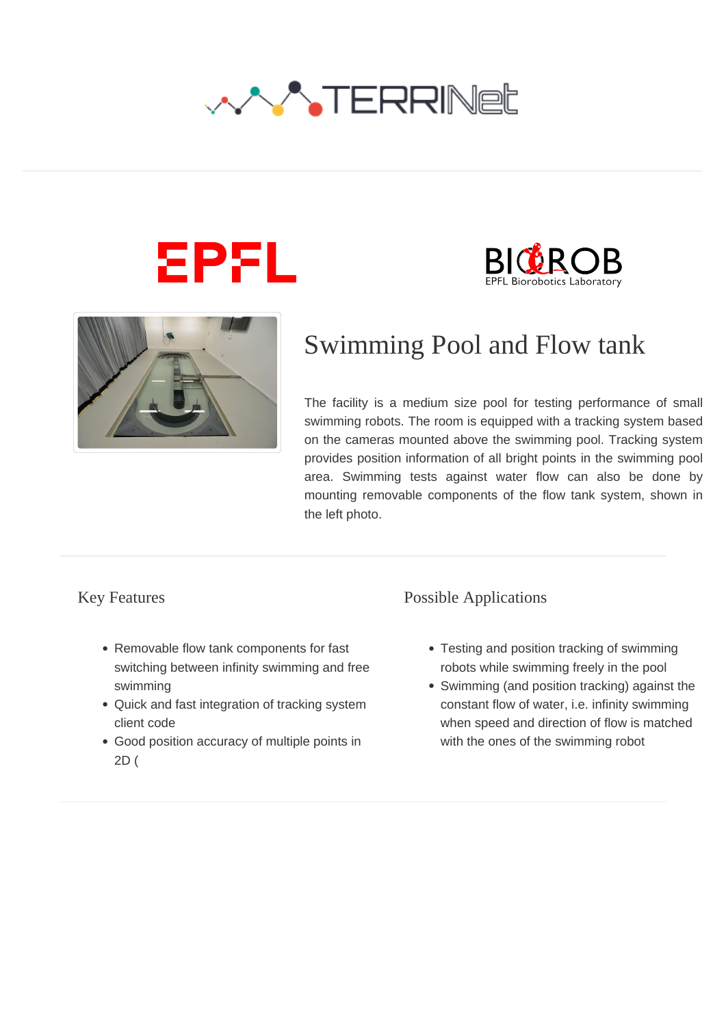







# Swimming Pool and Flow tank

The facility is a medium size pool for testing performance of small swimming robots. The room is equipped with a tracking system based on the cameras mounted above the swimming pool. Tracking system provides position information of all bright points in the swimming pool area. Swimming tests against water flow can also be done by mounting removable components of the flow tank system, shown in the left photo.

#### Key Features

- Removable flow tank components for fast switching between infinity swimming and free swimming
- Quick and fast integration of tracking system client code
- Good position accuracy of multiple points in 2D (

#### Possible Applications

- Testing and position tracking of swimming robots while swimming freely in the pool
- Swimming (and position tracking) against the constant flow of water, i.e. infinity swimming when speed and direction of flow is matched with the ones of the swimming robot